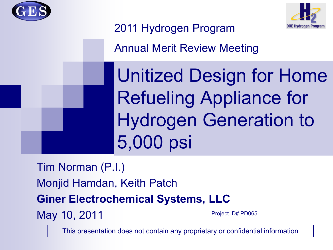



### 2011 Hydrogen Program

Annual Merit Review Meeting

Unitized Design for Home Refueling Appliance for Hydrogen Generation to 5,000 psi

Tim Norman (P.I.) Monjid Hamdan, Keith Patch **Giner Electrochemical Systems, LLC** May 10, 2011 Project ID# PD065

This presentation does not contain any proprietary or confidential information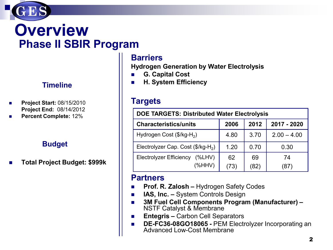

### **Overview Phase II SBIR Program**

#### **Timeline**

- **Project Start:** 08/15/2010 **Project End:** 08/14/2012
- **Percent Complete:** 12%

#### **Budget**

**Total Project Budget: \$999k**

### **Barriers**

**Hydrogen Generation by Water Electrolysis**

- **G. Capital Cost**
- **H. System Efficiency**

### **Targets**

| <b>DOE TARGETS: Distributed Water Electrolysis</b>    |            |            |               |  |  |  |
|-------------------------------------------------------|------------|------------|---------------|--|--|--|
| <b>Characteristics/units</b>                          | 2006       | 2012       | 2017 - 2020   |  |  |  |
| Hydrogen Cost (\$/kg-H <sub>2</sub> )                 | 4.80       | 3.70       | $2.00 - 4.00$ |  |  |  |
| Electrolyzer Cap. Cost (\$/kg-H <sub>2</sub> )        | 1.20       | 0.70       | 0.30          |  |  |  |
| <b>Electrolyzer Efficiency</b><br>$(\%LHV)$<br>(%HHV) | 62<br>(73) | 69<br>(82) | 74<br>(87)    |  |  |  |

#### **Partners**

- **Prof. R. Zalosh –** Hydrogen Safety Codes
- **IAS, Inc. –** System Controls Design
- **3M Fuel Cell Components Program (Manufacturer) –**<br>NSTF Catalyst & Membrane
- **Entegris –** Carbon Cell Separators
- **DE-FC36-08GO18065 -** PEM Electrolyzer Incorporating an Advanced Low-Cost Membrane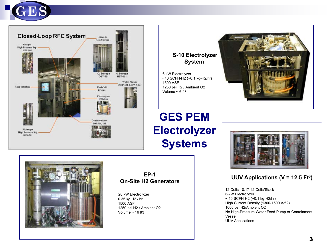





### **GES PEM Electrolyzer Systems**



#### **UUV Applications (V = 12.5 Ft3)**

12 Cells - 0.17 ft2 Cells/Stack 6-kW Electrolyzer ~ 40 SCFH-H2 (~0.1 kg-H2/hr) High Current Density (1300-1500 A/ft2) 1000 psi H2/Ambient O2 No High-Pressure Water Feed Pump or Containment Vessel UUV Applications



#### **EP-1 On-Site H2 Generators**

20 kW Electrolyzer 0.35 kg H2 / hr 1500 ASF 1250 psi H2 / Ambient O2 Volume  $\sim$  16 ft3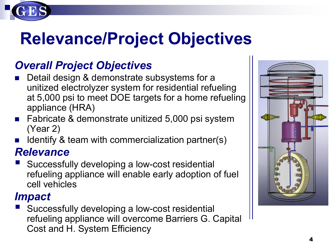

### *Overall Project Objectives*

- Detail design & demonstrate subsystems for a unitized electrolyzer system for residential refueling at 5,000 psi to meet DOE targets for a home refueling appliance (HRA)
- Fabricate & demonstrate unitized 5,000 psi system (Year 2)
- Identify & team with commercialization partner(s)

### *Relevance*

 Successfully developing a low-cost residential refueling appliance will enable early adoption of fuel cell vehicles

### *Impact*

 Successfully developing a low-cost residential refueling appliance will overcome Barriers G. Capital Cost and H. System Efficiency

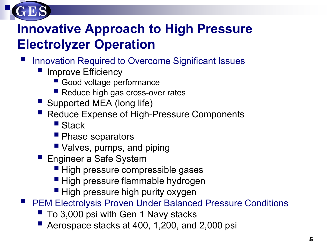

### **Innovative Approach to High Pressure Electrolyzer Operation**

- Innovation Required to Overcome Significant Issues
	- **I** Improve Efficiency
		- Good voltage performance
		- Reduce high gas cross-over rates
	- Supported MEA (long life)
	- Reduce Expense of High-Pressure Components
		- Stack
		- **Phase separators**
		- Valves, pumps, and piping
	- **Engineer a Safe System** 
		- High pressure compressible gases
		- High pressure flammable hydrogen
		- **High pressure high purity oxygen**
- PEM Electrolysis Proven Under Balanced Pressure Conditions
	- To 3,000 psi with Gen 1 Navy stacks
	- Aerospace stacks at 400, 1,200, and 2,000 psi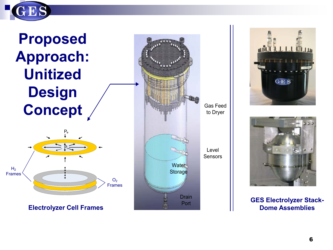

## **Proposed Approach: Unitized Design Concept**



**Electrolyzer Cell Frames**







#### **GES Electrolyzer Stack-Dome Assemblies**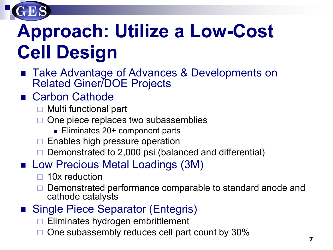

# **Approach: Utilize a Low-Cost Cell Design**

 Take Advantage of Advances & Developments on Related Giner/DOE Projects

### ■ Carbon Cathode

- $\Box$  Multi functional part
- One piece replaces two subassemblies
	- Eliminates 20+ component parts
- $\Box$  Enables high pressure operation
- $\Box$  Demonstrated to 2,000 psi (balanced and differential)
- **Low Precious Metal Loadings (3M)** 
	- 10x reduction
	- Demonstrated performance comparable to standard anode and cathode catalysts
- Single Piece Separator (Entegris)
	- Eliminates hydrogen embrittlement
	- One subassembly reduces cell part count by 30%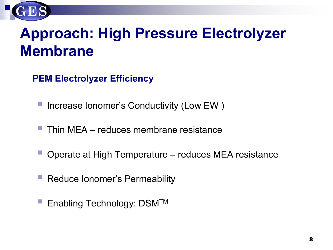

## **Approach: High Pressure Electrolyzer Membrane**

**PEM Electrolyzer Efficiency** 

- Increase Ionomer's Conductivity (Low EW )
- Thin MEA reduces membrane resistance
- Operate at High Temperature reduces MEA resistance
- Reduce Ionomer's Permeability
- Enabling Technology: DSMTM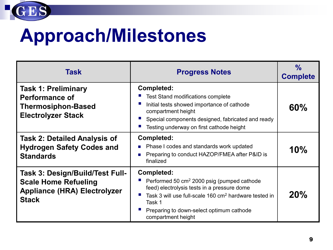

# **Approach/Milestones**

| Task                                                                                                                  | <b>Progress Notes</b>                                                                                                                                                                                                                                                       | $\frac{0}{0}$<br><b>Complete</b> |
|-----------------------------------------------------------------------------------------------------------------------|-----------------------------------------------------------------------------------------------------------------------------------------------------------------------------------------------------------------------------------------------------------------------------|----------------------------------|
| <b>Task 1: Preliminary</b><br><b>Performance of</b><br><b>Thermosiphon-Based</b><br><b>Electrolyzer Stack</b>         | <b>Completed:</b><br><b>Test Stand modifications complete</b><br>Initial tests showed importance of cathode<br>compartment height<br>Special components designed, fabricated and ready<br>Testing underway on first cathode height                                          | 60%                              |
| <b>Task 2: Detailed Analysis of</b><br><b>Hydrogen Safety Codes and</b><br><b>Standards</b>                           | <b>Completed:</b><br>Phase I codes and standards work updated<br>п<br>Preparing to conduct HAZOP/FMEA after P&ID is<br>ш<br>finalized                                                                                                                                       | 10%                              |
| Task 3: Design/Build/Test Full-<br><b>Scale Home Refueling</b><br><b>Appliance (HRA) Electrolyzer</b><br><b>Stack</b> | <b>Completed:</b><br>Performed 50 cm <sup>2</sup> 2000 psig (pumped cathode<br>feed) electrolysis tests in a pressure dome<br>Task 3 will use full-scale 160 cm <sup>2</sup> hardware tested in<br>Task 1<br>Preparing to down-select optimum cathode<br>compartment height | 20%                              |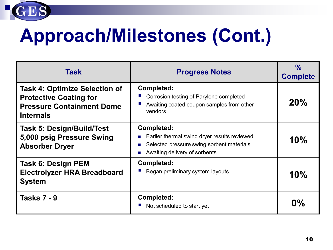

# **Approach/Milestones (Cont.)**

| Task                                                                                                                          | <b>Progress Notes</b>                                                                                                                                | $\frac{0}{0}$<br><b>Complete</b> |
|-------------------------------------------------------------------------------------------------------------------------------|------------------------------------------------------------------------------------------------------------------------------------------------------|----------------------------------|
| <b>Task 4: Optimize Selection of</b><br><b>Protective Coating for</b><br><b>Pressure Containment Dome</b><br><b>Internals</b> | <b>Completed:</b><br>Corrosion testing of Parylene completed<br>Awaiting coated coupon samples from other<br>vendors                                 | 20%                              |
| <b>Task 5: Design/Build/Test</b><br>5,000 psig Pressure Swing<br><b>Absorber Dryer</b>                                        | <b>Completed:</b><br>Earlier thermal swing dryer results reviewed<br>Selected pressure swing sorbent materials<br>Awaiting delivery of sorbents<br>× | 10%                              |
| Task 6: Design PEM<br><b>Electrolyzer HRA Breadboard</b><br><b>System</b>                                                     | <b>Completed:</b><br>Began preliminary system layouts                                                                                                | 10%                              |
| <b>Tasks 7 - 9</b>                                                                                                            | <b>Completed:</b><br>Not scheduled to start yet                                                                                                      | $0\%$                            |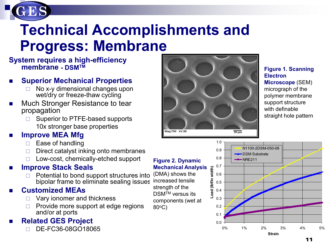

## **Technical Accomplishments and Progress: Membrane**

#### **System requires a high-efficiency membrane - DSMTM**

### **Superior Mechanical Properties**

- No x-y dimensional changes upon wet/dry or freeze-thaw cycling
- Much Stronger Resistance to tear propagation
	- $\Box$  Superior to PTFE-based supports 10x stronger base properties

### **Improve MEA Mfg**

- $\Box$  Ease of handling
- $\Box$  Direct catalyst inking onto membranes
- Low-cost, chemically-etched support

### **Improve Stack Seals**

 Potential to bond support structures into bipolar frame to eliminate sealing issues

### **Customized MEAs**

- Vary ionomer and thickness
- $\Box$  Provide more support at edge regions and/or at ports

### **Related GES Project**

DE-FC36-08GO18065



**Figure 1. Scanning Electron Microscope** (SEM) micrograph of the polymer membrane support structure with definable straight hole pattern

#### **Figure 2. Dynamic Mechanical Analysis**

(DMA) shows the increased tensile strength of the DSM<sup>™</sup> versus its components (wet at 80oC)

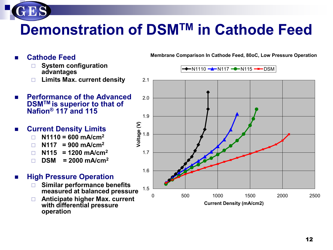## **Demonstration of DSMTM in Cathode Feed**

- **Cathode Feed** 
	- **System configuration advantages**
	- **Limits Max. current density**
- **Performance of the Advanced DSMTM is superior to that of Nafion® 117 and 115**
- **Current Density Limits**
	- **N1110 = 600 mA/cm2**
	- $\Box$  N117 = 900 mA/cm<sup>2</sup>
	- $\Box$  N115 = 1200 mA/cm<sup>2</sup>
	- **DSM = 2000 mA/cm<sup>2</sup>**
- **High Pressure Operation** 
	- **Similar performance benefits measured at balanced pressure**
	- **Anticipate higher Max. current with differential pressure operation**

**Membrane Comparison In Cathode Feed, 80oC, Low Pressure Operation**

 $\rightarrow$ N1110  $\rightarrow$ N117  $\rightarrow$ N115  $\rightarrow$ NDSM

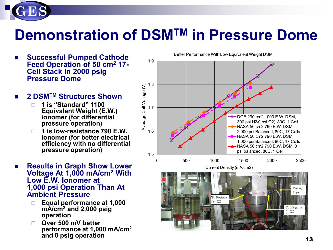

## **Demonstration of DSMTM in Pressure Dome**

- **Successful Pumped Cathode Feed Operation of 50 cm2 17- Cell Stack in 2000 psig Pressure Dome**
- 2 DSM<sup>TM</sup> Structures Shown
	- **1 is "Standard" 1100 Equivalent Weight (E.W.) ionomer (for differential pressure operation)**
	- **1 is low-resistance 790 E.W. ionomer (for better electrical efficiency with no differential pressure operation)**
- **Results in Graph Show Lower Voltage At 1,000 mA/cm2 With Low E.W. Ionomer at 1,000 psi Operation Than At Ambient Pressure**
	- **Equal performance at 1,000 mA/cm2 and 2,000 psig operation**
	- **Over 500 mV better performance at 1,000 mA/cm2 and 0 psig operation**



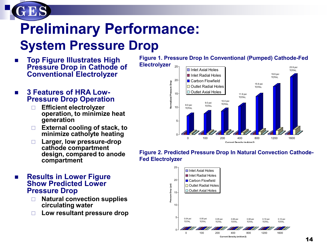

# **Preliminary Performance:**

### **System Pressure Drop**

- **Top Figure Illustrates High Pressure Drop in Cathode of Conventional Electrolyzer**
- **3 Features of HRA Low- Pressure Drop Operation**
	- **Efficient electrolyzer operation, to minimize heat generation**
	- **External cooling of stack, to minimize catholyte heating**
	- **Larger, low pressure-drop cathode compartment design, compared to anode compartment**

**Figure 1. Pressure Drop In Conventional (Pumped) Cathode-Fed** 

**Electrolyzer**



#### **Figure 2. Predicted Pressure Drop In Natural Convection Cathode-Fed Electrolyzer**



#### ■ Results in Lower Figure **Show Predicted Lower Pressure Drop**

- **Natural convection supplies circulating water**
- **Low resultant pressure drop**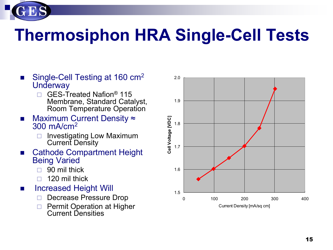

# **Thermosiphon HRA Single-Cell Tests**

- Single-Cell Testing at 160 cm<sup>2</sup> **Underway** 
	- □ GES-Treated Nafion<sup>®</sup> 115 Membrane, Standard Catalyst, Room Temperature Operation
- Maximum Current Density  $\approx$ 300 mA/cm2
	- $\Box$  Investigating Low Maximum Current Density
- Cathode Compartment Height Being Varied
	- $\Box$  90 mil thick
	- 120 mil thick
- **Increased Height Will** 
	- Decrease Pressure Drop
	- □ Permit Operation at Higher Current Densities

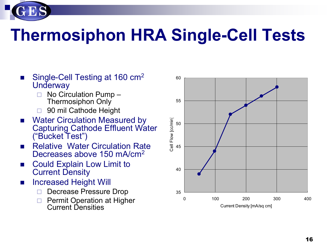

- Single-Cell Testing at 160 cm<sup>2</sup> **Underway** 
	- No Circulation Pump Thermosiphon Only
	- 90 mil Cathode Height
- Water Circulation Measured by Capturing Cathode Effluent Water ("Bucket Test")
- **Relative Water Circulation Rate** Decreases above 150 mA/cm<sup>2</sup>
- **Could Explain Low Limit to** Current Density
- **Increased Height Will** 
	- Decrease Pressure Drop
	- Permit Operation at Higher Current Densities

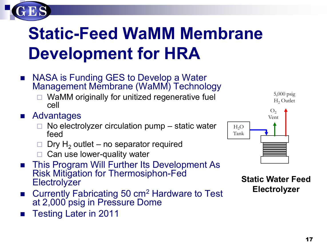# **Static-Feed WaMM Membrane Development for HRA**

- NASA is Funding GES to Develop a Water Management Membrane (WaMM) Technology
	- WaMM originally for unitized regenerative fuel cell
- Advantages
	- $\Box$  No electrolyzer circulation pump static water feed
	- $\Box$  Dry H<sub>2</sub> outlet no separator required
	- $\Box$  Can use lower-quality water
- This Program Will Further Its Development As Risk Mitigation for Thermosiphon-Fed **Electrolyzer**
- Currently Fabricating 50 cm2 Hardware to Test at 2,000 psig in Pressure Dome
- Testing Later in 2011



**Static Water Feed Electrolyzer**

5,000 psig  $H<sub>2</sub>$  Outlet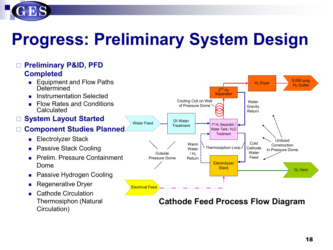

# **Progress: Preliminary System Design**

#### 1<sup>st</sup> H<sub>2</sub> Separator / Water Tank / H<sub>2</sub>O **Treatment**  $2^{nd}$  H<sub>2</sub> **Separator** H2 Dryer Water Feed Electrical Feed 5,000 psig H<sub>2</sub> Outlet O2 Vent **Electrolyzer Stack** Unitized Construction Thermosiphon Loop / Cathode In Pressure Dome DI Water **Treatment** Cooling Coil on Wall of Pressure Dome **Water Gravity** Return Warm **Water**  $/H<sub>2</sub>$ Return Cold Cathode **Water** Feed **Outside** Pressure Dome **Preliminary P&ID, PFD Completed** ■ Equipment and Flow Paths **Determined Instrumentation Selected**  Flow Rates and Conditions **Calculated System Layout Started Component Studies Planned Electrolyzer Stack Passive Stack Cooling Prelim. Pressure Containment** Dome Passive Hydrogen Cooling Regenerative Dryer ■ Cathode Circulation Thermosiphon (Natural Circulation) **Cathode Feed Process Flow Diagram**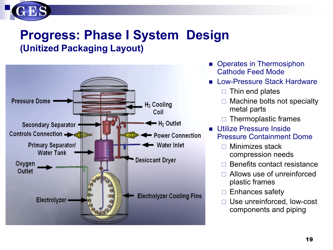

### **Progress: Phase I System Design (Unitized Packaging Layout)**



- **Operates in Thermosiphon** Cathode Feed Mode
- **Low-Pressure Stack Hardware** 
	- $\Box$  Thin end plates
	- $\Box$  Machine bolts not specialty metal parts
	- Thermoplastic frames
- **Utilize Pressure Inside** Pressure Containment Dome
	- $\Box$  Minimizes stack compression needs
	- Benefits contact resistance
	- Allows use of unreinforced plastic frames
	- $\Box$  Enhances safety
	- □ Use unreinforced, low-cost components and piping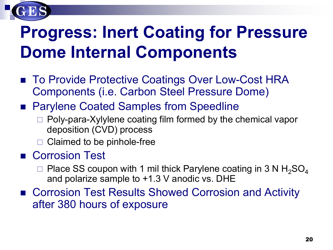

## **Progress: Inert Coating for Pressure Dome Internal Components**

- To Provide Protective Coatings Over Low-Cost HRA Components (i.e. Carbon Steel Pressure Dome)
- Parylene Coated Samples from Speedline
	- $\Box$  Poly-para-Xylylene coating film formed by the chemical vapor deposition (CVD) process
	- Claimed to be pinhole-free

### ■ Corrosion Test

- $\Box$  Place SS coupon with 1 mil thick Parylene coating in 3 N H<sub>2</sub>SO<sub>4</sub> and polarize sample to +1.3 V anodic vs. DHE
- Corrosion Test Results Showed Corrosion and Activity after 380 hours of exposure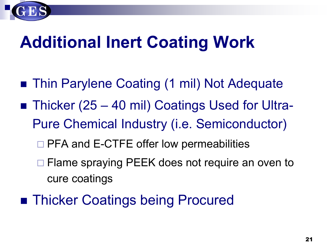

# **Additional Inert Coating Work**

- Thin Parylene Coating (1 mil) Not Adequate
- Thicker (25 40 mil) Coatings Used for Ultra-Pure Chemical Industry (i.e. Semiconductor)
	- □ PFA and E-CTFE offer low permeabilities
	- □ Flame spraying PEEK does not require an oven to cure coatings
- Thicker Coatings being Procured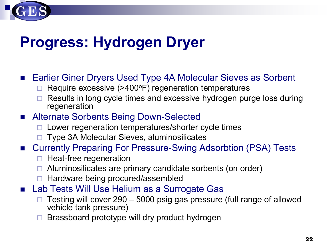## **Progress: Hydrogen Dryer**

■ Earlier Giner Dryers Used Type 4A Molecular Sieves as Sorbent

- Require excessive (>400°F) regeneration temperatures
- Results in long cycle times and excessive hydrogen purge loss during regeneration

### ■ Alternate Sorbents Being Down-Selected

- $\Box$  Lower regeneration temperatures/shorter cycle times
- □ Type 3A Molecular Sieves, aluminosilicates
- Currently Preparing For Pressure-Swing Adsorbtion (PSA) Tests
	- $\Box$  Heat-free regeneration
	- Aluminosilicates are primary candidate sorbents (on order)
	- Hardware being procured/assembled
- Lab Tests Will Use Helium as a Surrogate Gas
	- Testing will cover 290 5000 psig gas pressure (full range of allowed vehicle tank pressure)
	- Brassboard prototype will dry product hydrogen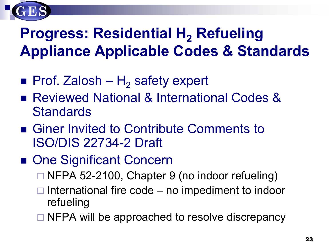

## **Progress: Residential H<sub>2</sub> Refueling Appliance Applicable Codes & Standards**

- **Prof.** Zalosh H<sub>2</sub> safety expert
- Reviewed National & International Codes & **Standards**
- Giner Invited to Contribute Comments to ISO/DIS 22734-2 Draft
- One Significant Concern
	- □ NFPA 52-2100, Chapter 9 (no indoor refueling)
	- $\Box$  International fire code no impediment to indoor refueling
	- $\Box$  NFPA will be approached to resolve discrepancy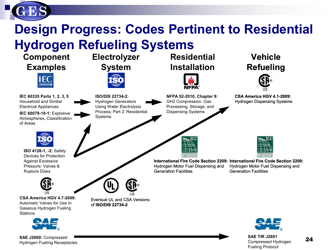

### **Design Progress: Codes Pertinent to Residential Hydrogen Refueling Systems**



**SAE J2600:** Compressed Hydrogen Fueling Receptacles

**SAE TIR J2601** Compressed Hydrogen Fueling Protocol

24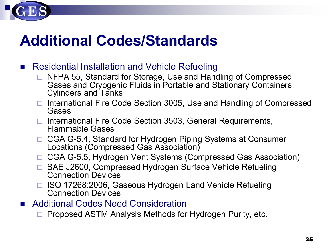

## **Additional Codes/Standards**

### ■ Residential Installation and Vehicle Refueling

- NFPA 55, Standard for Storage, Use and Handling of Compressed Gases and Cryogenic Fluids in Portable and Stationary Containers, Cylinders and Tanks
- $\Box$  International Fire Code Section 3005, Use and Handling of Compressed Gases
- □ International Fire Code Section 3503, General Requirements, Flammable Gases
- □ CGA G-5.4, Standard for Hydrogen Piping Systems at Consumer Locations (Compressed Gas Association)
- □ CGA G-5.5, Hydrogen Vent Systems (Compressed Gas Association)
- □ SAE J2600, Compressed Hydrogen Surface Vehicle Refueling Connection Devices
- □ ISO 17268:2006, Gaseous Hydrogen Land Vehicle Refueling Connection Devices
- Additional Codes Need Consideration

Proposed ASTM Analysis Methods for Hydrogen Purity, etc.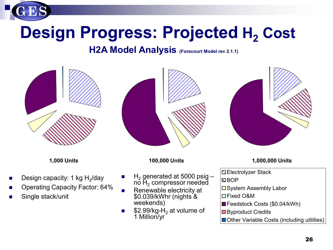

## **Design Progress: Projected H<sub>2</sub> Cost**

### **H2A Model Analysis** (Forecourt Model rev 2.1.1)



- Design capacity: 1 kg  $H<sub>2</sub>/day$
- Operating Capacity Factor: 64%
- Single stack/unit



- H<sub>2</sub> generated at 5000 psig no H<sub>2</sub> compressor needed
- Renewable electricity at \$0.039/kWhr (nights & weekends)
- $\blacksquare$  \$2.99/kg-H<sub>2</sub> at volume of 1 Million/yr



**1,000 Units 100,000 Units 1,000,000 Units**

**Electrolyzer Stack** 

**NBOP** 

 $\square$  System Assembly Labor

- Fixed O&M
- Feedstock Costs (\$0.04/kWh)
- **□** Byproduct Credits
- **Other Variable Costs (including utilities)**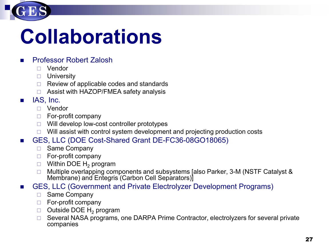

# **Collaborations**

### **Professor Robert Zalosh**

- Vendor
- **D** University
- $\Box$  Review of applicable codes and standards
- □ Assist with HAZOP/FMEA safety analysis
- $\blacksquare$  IAS, Inc.
	- D Vendor
	- $\Box$  For-profit company
	- $\Box$  Will develop low-cost controller prototypes
	- $\Box$  Will assist with control system development and projecting production costs
- GES, LLC (DOE Cost-Shared Grant DE-FC36-08GO18065)
	- □ Same Company
	- $\Box$  For-profit company
	- $\Box$  Within DOE H<sub>2</sub> program
	- □ Multiple overlapping components and subsystems [also Parker, 3-M (NSTF Catalyst & Membrane) and Entegris (Carbon Cell Separators)]
- GES, LLC (Government and Private Electrolyzer Development Programs)
	- $\Box$  Same Company
	- $\Box$  For-profit company
	- $\Box$  Outside DOE H<sub>2</sub> program
	- □ Several NASA programs, one DARPA Prime Contractor, electrolyzers for several private companies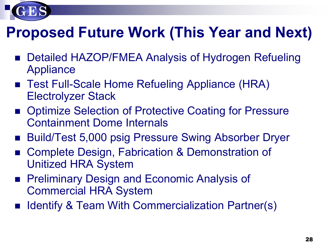

## **Proposed Future Work (This Year and Next)**

- Detailed HAZOP/FMEA Analysis of Hydrogen Refueling Appliance
- Test Full-Scale Home Refueling Appliance (HRA) Electrolyzer Stack
- Optimize Selection of Protective Coating for Pressure Containment Dome Internals
- Build/Test 5,000 psig Pressure Swing Absorber Dryer
- Complete Design, Fabrication & Demonstration of Unitized HRA System
- **Preliminary Design and Economic Analysis of** Commercial HRA System
- Identify & Team With Commercialization Partner(s)